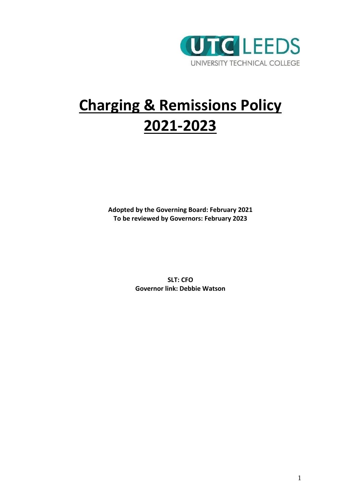

# **Charging & Remissions Policy 2021-2023**

**Adopted by the Governing Board: February 2021 To be reviewed by Governors: February 2023**

> **SLT: CFO Governor link: Debbie Watson**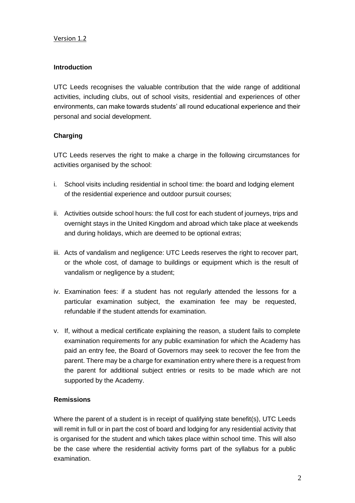#### Version 1.2

#### **Introduction**

UTC Leeds recognises the valuable contribution that the wide range of additional activities, including clubs, out of school visits, residential and experiences of other environments, can make towards students' all round educational experience and their personal and social development.

## **Charging**

UTC Leeds reserves the right to make a charge in the following circumstances for activities organised by the school:

- i. School visits including residential in school time: the board and lodging element of the residential experience and outdoor pursuit courses;
- ii. Activities outside school hours: the full cost for each student of journeys, trips and overnight stays in the United Kingdom and abroad which take place at weekends and during holidays, which are deemed to be optional extras;
- iii. Acts of vandalism and negligence: UTC Leeds reserves the right to recover part, or the whole cost, of damage to buildings or equipment which is the result of vandalism or negligence by a student;
- iv. Examination fees: if a student has not regularly attended the lessons for a particular examination subject, the examination fee may be requested, refundable if the student attends for examination.
- v. If, without a medical certificate explaining the reason, a student fails to complete examination requirements for any public examination for which the Academy has paid an entry fee, the Board of Governors may seek to recover the fee from the parent. There may be a charge for examination entry where there is a request from the parent for additional subject entries or resits to be made which are not supported by the Academy.

## **Remissions**

Where the parent of a student is in receipt of qualifying state benefit(s), UTC Leeds will remit in full or in part the cost of board and lodging for any residential activity that is organised for the student and which takes place within school time. This will also be the case where the residential activity forms part of the syllabus for a public examination.